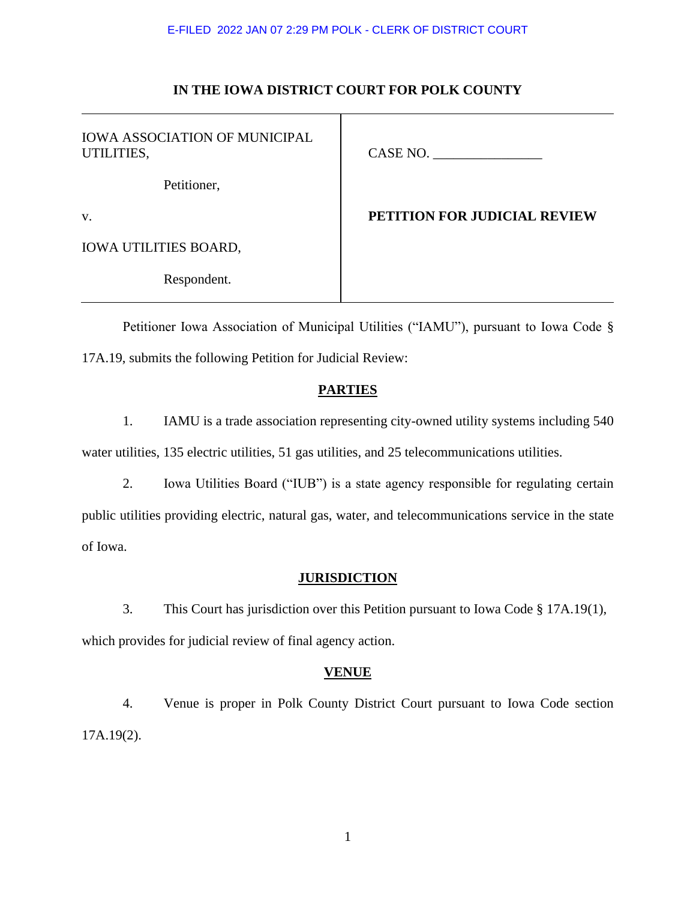# **IN THE IOWA DISTRICT COURT FOR POLK COUNTY**

| <b>IOWA ASSOCIATION OF MUNICIPAL</b><br>UTILITIES, | CASE NO.                            |
|----------------------------------------------------|-------------------------------------|
| Petitioner,                                        |                                     |
| V.                                                 | <b>PETITION FOR JUDICIAL REVIEW</b> |
| <b>IOWA UTILITIES BOARD,</b>                       |                                     |
| Respondent.                                        |                                     |

Petitioner Iowa Association of Municipal Utilities ("IAMU"), pursuant to Iowa Code § 17A.19, submits the following Petition for Judicial Review:

# **PARTIES**

1. IAMU is a trade association representing city-owned utility systems including 540 water utilities, 135 electric utilities, 51 gas utilities, and 25 telecommunications utilities.

2. Iowa Utilities Board ("IUB") is a state agency responsible for regulating certain public utilities providing electric, natural gas, water, and telecommunications service in the state of Iowa.

## **JURISDICTION**

3. This Court has jurisdiction over this Petition pursuant to Iowa Code § 17A.19(1), which provides for judicial review of final agency action.

# **VENUE**

4. Venue is proper in Polk County District Court pursuant to Iowa Code section 17A.19(2).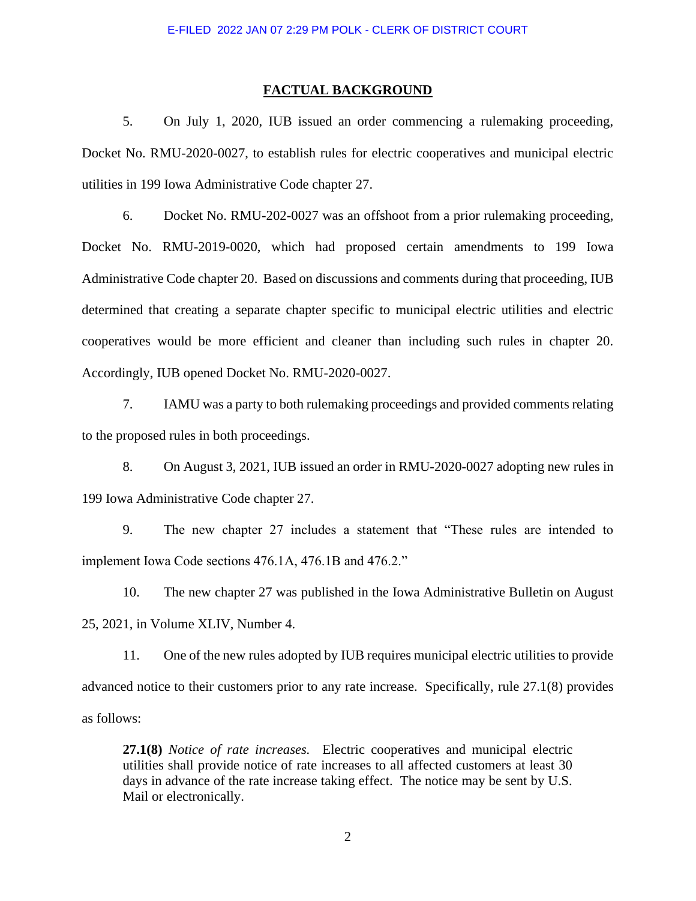#### **FACTUAL BACKGROUND**

5. On July 1, 2020, IUB issued an order commencing a rulemaking proceeding, Docket No. RMU-2020-0027, to establish rules for electric cooperatives and municipal electric utilities in 199 Iowa Administrative Code chapter 27.

6. Docket No. RMU-202-0027 was an offshoot from a prior rulemaking proceeding, Docket No. RMU-2019-0020, which had proposed certain amendments to 199 Iowa Administrative Code chapter 20. Based on discussions and comments during that proceeding, IUB determined that creating a separate chapter specific to municipal electric utilities and electric cooperatives would be more efficient and cleaner than including such rules in chapter 20. Accordingly, IUB opened Docket No. RMU-2020-0027.

7. IAMU was a party to both rulemaking proceedings and provided comments relating to the proposed rules in both proceedings.

8. On August 3, 2021, IUB issued an order in RMU-2020-0027 adopting new rules in 199 Iowa Administrative Code chapter 27.

9. The new chapter 27 includes a statement that "These rules are intended to implement Iowa Code sections 476.1A, 476.1B and 476.2."

10. The new chapter 27 was published in the Iowa Administrative Bulletin on August 25, 2021, in Volume XLIV, Number 4.

11. One of the new rules adopted by IUB requires municipal electric utilities to provide advanced notice to their customers prior to any rate increase. Specifically, rule 27.1(8) provides as follows:

**27.1(8)** *Notice of rate increases.* Electric cooperatives and municipal electric utilities shall provide notice of rate increases to all affected customers at least 30 days in advance of the rate increase taking effect. The notice may be sent by U.S. Mail or electronically.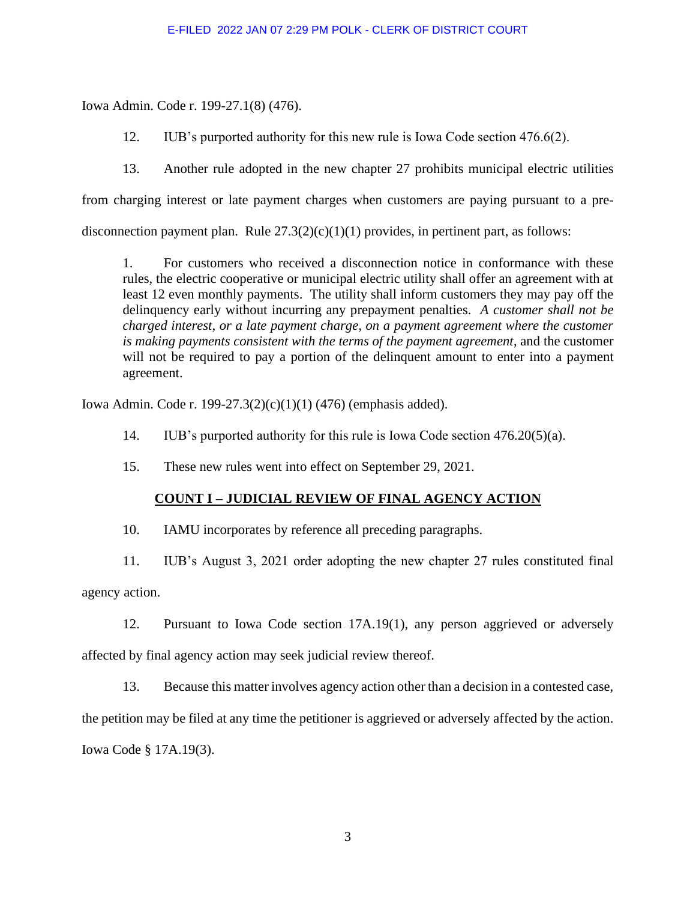Iowa Admin. Code r. 199-27.1(8) (476).

12. IUB's purported authority for this new rule is Iowa Code section 476.6(2).

13. Another rule adopted in the new chapter 27 prohibits municipal electric utilities

from charging interest or late payment charges when customers are paying pursuant to a pre-

disconnection payment plan. Rule  $27.3(2)(c)(1)(1)$  provides, in pertinent part, as follows:

1. For customers who received a disconnection notice in conformance with these rules, the electric cooperative or municipal electric utility shall offer an agreement with at least 12 even monthly payments. The utility shall inform customers they may pay off the delinquency early without incurring any prepayment penalties. *A customer shall not be charged interest, or a late payment charge, on a payment agreement where the customer is making payments consistent with the terms of the payment agreement*, and the customer will not be required to pay a portion of the delinquent amount to enter into a payment agreement.

Iowa Admin. Code r. 199-27.3(2)(c)(1)(1) (476) (emphasis added).

- 14. IUB's purported authority for this rule is Iowa Code section 476.20(5)(a).
- 15. These new rules went into effect on September 29, 2021.

# **COUNT I – JUDICIAL REVIEW OF FINAL AGENCY ACTION**

10. IAMU incorporates by reference all preceding paragraphs.

11. IUB's August 3, 2021 order adopting the new chapter 27 rules constituted final

agency action.

12. Pursuant to Iowa Code section 17A.19(1), any person aggrieved or adversely affected by final agency action may seek judicial review thereof.

13. Because this matter involves agency action other than a decision in a contested case,

the petition may be filed at any time the petitioner is aggrieved or adversely affected by the action.

Iowa Code § 17A.19(3).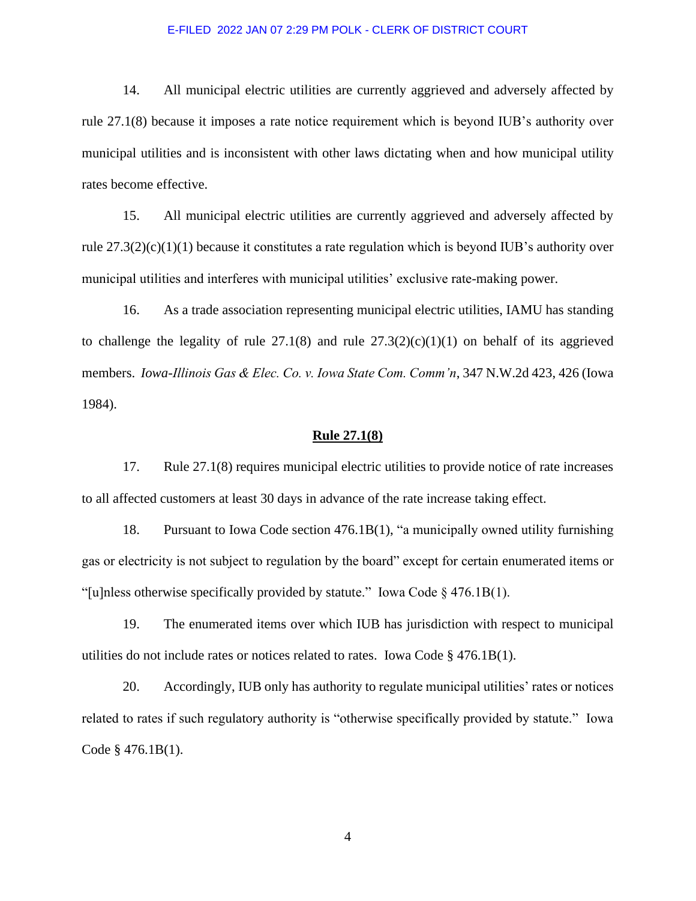14. All municipal electric utilities are currently aggrieved and adversely affected by rule 27.1(8) because it imposes a rate notice requirement which is beyond IUB's authority over municipal utilities and is inconsistent with other laws dictating when and how municipal utility rates become effective.

15. All municipal electric utilities are currently aggrieved and adversely affected by rule 27.3(2)(c)(1)(1) because it constitutes a rate regulation which is beyond IUB's authority over municipal utilities and interferes with municipal utilities' exclusive rate-making power.

16. As a trade association representing municipal electric utilities, IAMU has standing to challenge the legality of rule  $27.1(8)$  and rule  $27.3(2)(c)(1)(1)$  on behalf of its aggrieved members. *Iowa-Illinois Gas & Elec. Co. v. Iowa State Com. Comm'n*, 347 N.W.2d 423, 426 (Iowa 1984).

#### **Rule 27.1(8)**

17. Rule 27.1(8) requires municipal electric utilities to provide notice of rate increases to all affected customers at least 30 days in advance of the rate increase taking effect.

18. Pursuant to Iowa Code section 476.1B(1), "a municipally owned utility furnishing gas or electricity is not subject to regulation by the board" except for certain enumerated items or "[u]nless otherwise specifically provided by statute." Iowa Code  $\S$  476.1B(1).

19. The enumerated items over which IUB has jurisdiction with respect to municipal utilities do not include rates or notices related to rates. Iowa Code § 476.1B(1).

20. Accordingly, IUB only has authority to regulate municipal utilities' rates or notices related to rates if such regulatory authority is "otherwise specifically provided by statute." Iowa Code § 476.1B(1).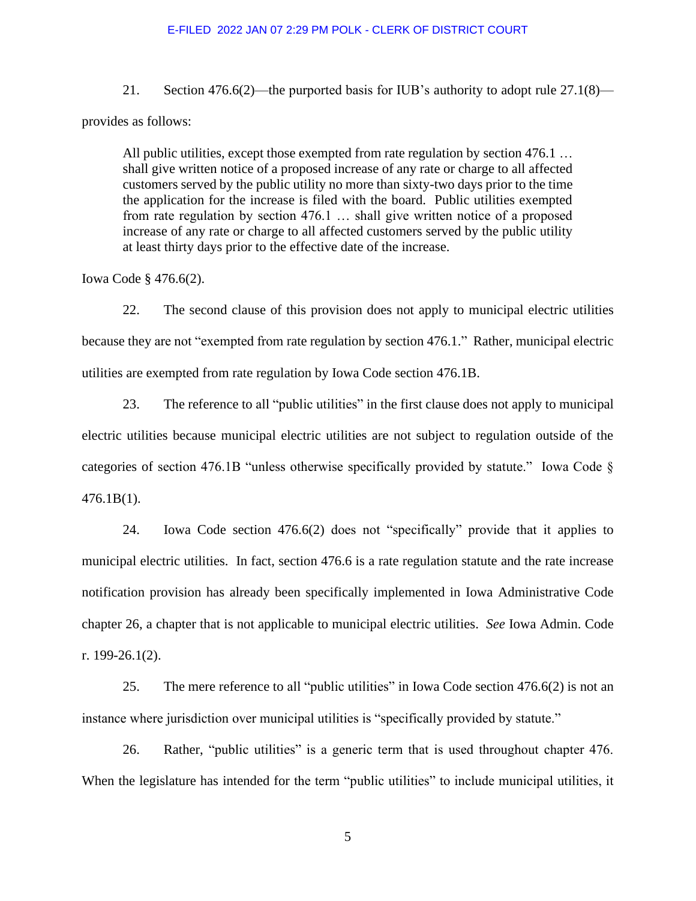21. Section 476.6(2)—the purported basis for IUB's authority to adopt rule 27.1(8)—

provides as follows:

All public utilities, except those exempted from rate regulation by section 476.1 ... shall give written notice of a proposed increase of any rate or charge to all affected customers served by the public utility no more than sixty-two days prior to the time the application for the increase is filed with the board. Public utilities exempted from rate regulation by section 476.1 … shall give written notice of a proposed increase of any rate or charge to all affected customers served by the public utility at least thirty days prior to the effective date of the increase.

Iowa Code § 476.6(2).

22. The second clause of this provision does not apply to municipal electric utilities because they are not "exempted from rate regulation by section 476.1." Rather, municipal electric utilities are exempted from rate regulation by Iowa Code section 476.1B.

23. The reference to all "public utilities" in the first clause does not apply to municipal electric utilities because municipal electric utilities are not subject to regulation outside of the categories of section 476.1B "unless otherwise specifically provided by statute." Iowa Code § 476.1B(1).

24. Iowa Code section 476.6(2) does not "specifically" provide that it applies to municipal electric utilities. In fact, section 476.6 is a rate regulation statute and the rate increase notification provision has already been specifically implemented in Iowa Administrative Code chapter 26, a chapter that is not applicable to municipal electric utilities. *See* Iowa Admin. Code r. 199-26.1(2).

25. The mere reference to all "public utilities" in Iowa Code section 476.6(2) is not an instance where jurisdiction over municipal utilities is "specifically provided by statute."

26. Rather, "public utilities" is a generic term that is used throughout chapter 476. When the legislature has intended for the term "public utilities" to include municipal utilities, it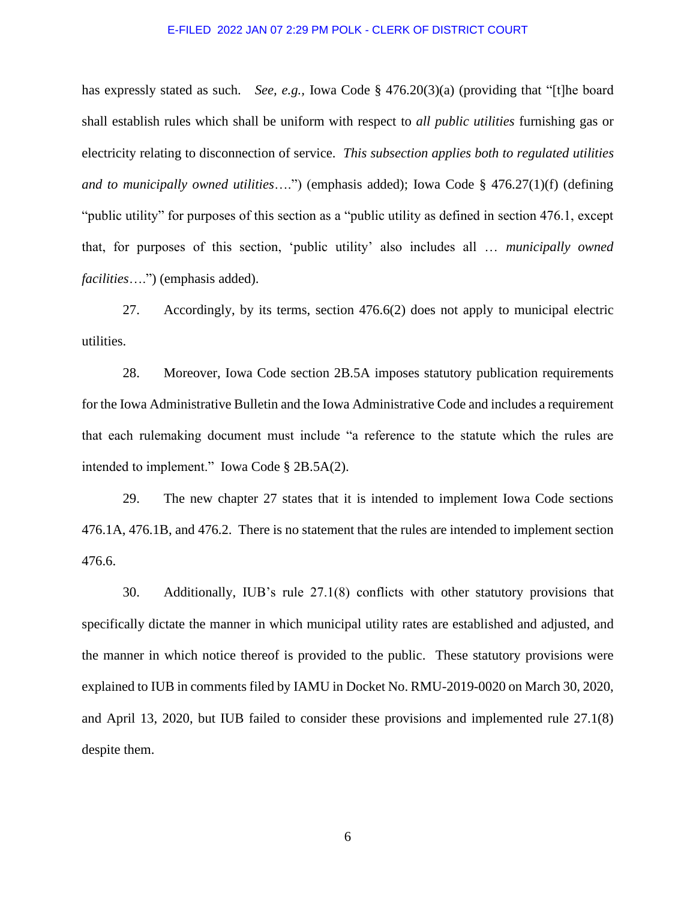has expressly stated as such. *See, e.g.,* Iowa Code § 476.20(3)(a) (providing that "[t]he board shall establish rules which shall be uniform with respect to *all public utilities* furnishing gas or electricity relating to disconnection of service. *This subsection applies both to regulated utilities and to municipally owned utilities*….") (emphasis added); Iowa Code § 476.27(1)(f) (defining "public utility" for purposes of this section as a "public utility as defined in section 476.1, except that, for purposes of this section, 'public utility' also includes all … *municipally owned facilities*….") (emphasis added).

27. Accordingly, by its terms, section 476.6(2) does not apply to municipal electric utilities.

28. Moreover, Iowa Code section 2B.5A imposes statutory publication requirements for the Iowa Administrative Bulletin and the Iowa Administrative Code and includes a requirement that each rulemaking document must include "a reference to the statute which the rules are intended to implement." Iowa Code § 2B.5A(2).

29. The new chapter 27 states that it is intended to implement Iowa Code sections 476.1A, 476.1B, and 476.2. There is no statement that the rules are intended to implement section 476.6.

30. Additionally, IUB's rule 27.1(8) conflicts with other statutory provisions that specifically dictate the manner in which municipal utility rates are established and adjusted, and the manner in which notice thereof is provided to the public. These statutory provisions were explained to IUB in comments filed by IAMU in Docket No. RMU-2019-0020 on March 30, 2020, and April 13, 2020, but IUB failed to consider these provisions and implemented rule 27.1(8) despite them.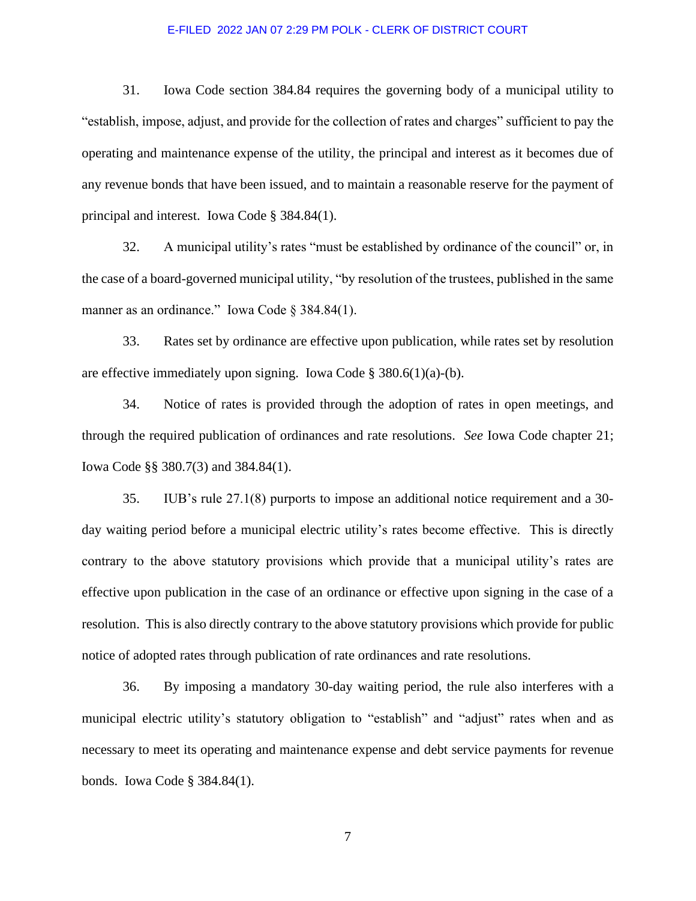31. Iowa Code section 384.84 requires the governing body of a municipal utility to "establish, impose, adjust, and provide for the collection of rates and charges" sufficient to pay the operating and maintenance expense of the utility, the principal and interest as it becomes due of any revenue bonds that have been issued, and to maintain a reasonable reserve for the payment of principal and interest. Iowa Code § 384.84(1).

32. A municipal utility's rates "must be established by ordinance of the council" or, in the case of a board-governed municipal utility, "by resolution of the trustees, published in the same manner as an ordinance." Iowa Code § 384.84(1).

33. Rates set by ordinance are effective upon publication, while rates set by resolution are effective immediately upon signing. Iowa Code §  $380.6(1)(a)-(b)$ .

34. Notice of rates is provided through the adoption of rates in open meetings, and through the required publication of ordinances and rate resolutions. *See* Iowa Code chapter 21; Iowa Code §§ 380.7(3) and 384.84(1).

35. IUB's rule 27.1(8) purports to impose an additional notice requirement and a 30 day waiting period before a municipal electric utility's rates become effective. This is directly contrary to the above statutory provisions which provide that a municipal utility's rates are effective upon publication in the case of an ordinance or effective upon signing in the case of a resolution. This is also directly contrary to the above statutory provisions which provide for public notice of adopted rates through publication of rate ordinances and rate resolutions.

36. By imposing a mandatory 30-day waiting period, the rule also interferes with a municipal electric utility's statutory obligation to "establish" and "adjust" rates when and as necessary to meet its operating and maintenance expense and debt service payments for revenue bonds. Iowa Code § 384.84(1).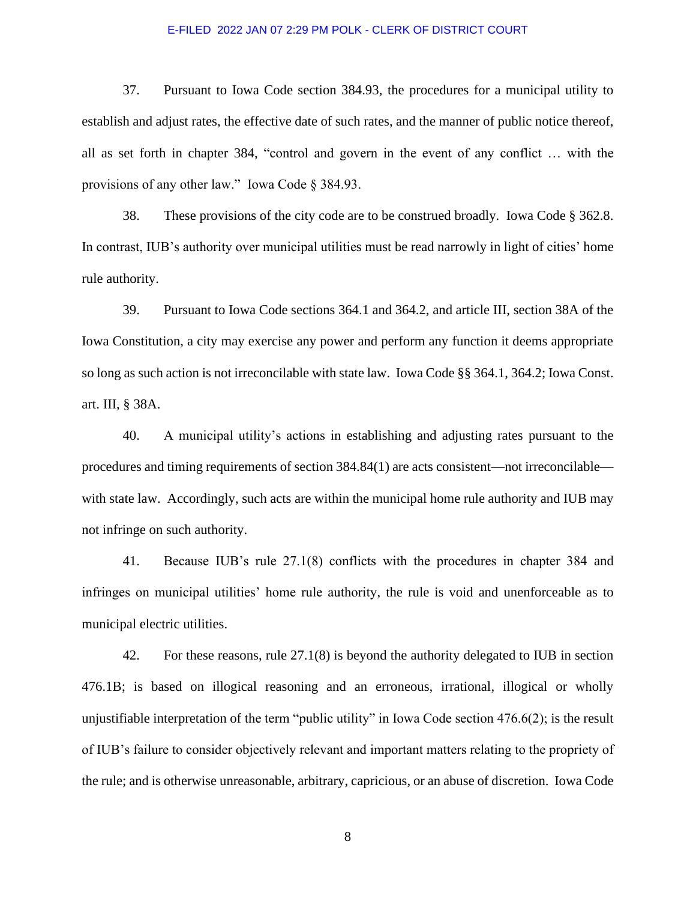37. Pursuant to Iowa Code section 384.93, the procedures for a municipal utility to establish and adjust rates, the effective date of such rates, and the manner of public notice thereof, all as set forth in chapter 384, "control and govern in the event of any conflict … with the provisions of any other law." Iowa Code § 384.93.

38. These provisions of the city code are to be construed broadly. Iowa Code § 362.8. In contrast, IUB's authority over municipal utilities must be read narrowly in light of cities' home rule authority.

39. Pursuant to Iowa Code sections 364.1 and 364.2, and article III, section 38A of the Iowa Constitution, a city may exercise any power and perform any function it deems appropriate so long as such action is not irreconcilable with state law. Iowa Code §§ 364.1, 364.2; Iowa Const. art. III, § 38A.

40. A municipal utility's actions in establishing and adjusting rates pursuant to the procedures and timing requirements of section 384.84(1) are acts consistent—not irreconcilable with state law. Accordingly, such acts are within the municipal home rule authority and IUB may not infringe on such authority.

41. Because IUB's rule 27.1(8) conflicts with the procedures in chapter 384 and infringes on municipal utilities' home rule authority, the rule is void and unenforceable as to municipal electric utilities.

42. For these reasons, rule 27.1(8) is beyond the authority delegated to IUB in section 476.1B; is based on illogical reasoning and an erroneous, irrational, illogical or wholly unjustifiable interpretation of the term "public utility" in Iowa Code section 476.6(2); is the result of IUB's failure to consider objectively relevant and important matters relating to the propriety of the rule; and is otherwise unreasonable, arbitrary, capricious, or an abuse of discretion. Iowa Code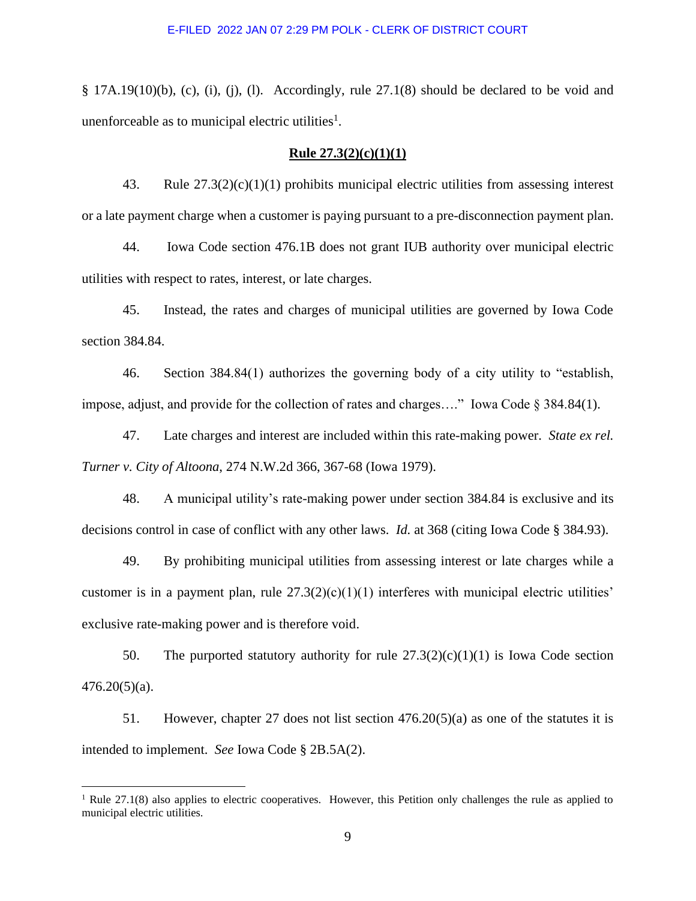§ 17A.19(10)(b), (c), (i), (j), (l). Accordingly, rule 27.1(8) should be declared to be void and unenforceable as to municipal electric utilities<sup>1</sup>.

### **Rule 27.3(2)(c)(1)(1)**

43. Rule 27.3(2)(c)(1)(1) prohibits municipal electric utilities from assessing interest or a late payment charge when a customer is paying pursuant to a pre-disconnection payment plan.

44. Iowa Code section 476.1B does not grant IUB authority over municipal electric utilities with respect to rates, interest, or late charges.

45. Instead, the rates and charges of municipal utilities are governed by Iowa Code section 384.84.

46. Section 384.84(1) authorizes the governing body of a city utility to "establish, impose, adjust, and provide for the collection of rates and charges…." Iowa Code § 384.84(1).

47. Late charges and interest are included within this rate-making power. *State ex rel. Turner v. City of Altoona*, 274 N.W.2d 366, 367-68 (Iowa 1979).

48. A municipal utility's rate-making power under section 384.84 is exclusive and its decisions control in case of conflict with any other laws. *Id.* at 368 (citing Iowa Code § 384.93).

49. By prohibiting municipal utilities from assessing interest or late charges while a customer is in a payment plan, rule  $27.3(2)(c)(1)(1)$  interferes with municipal electric utilities' exclusive rate-making power and is therefore void.

50. The purported statutory authority for rule  $27.3(2)(c)(1)(1)$  is Iowa Code section  $476.20(5)(a)$ .

51. However, chapter 27 does not list section  $476.20(5)(a)$  as one of the statutes it is intended to implement. *See* Iowa Code § 2B.5A(2).

 $1$  Rule 27.1(8) also applies to electric cooperatives. However, this Petition only challenges the rule as applied to municipal electric utilities.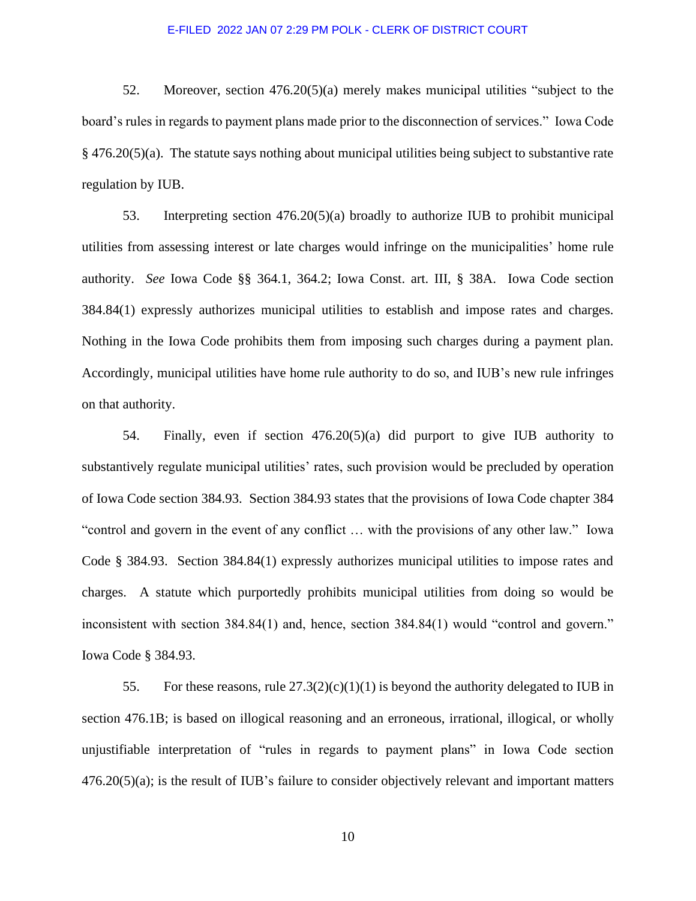52. Moreover, section 476.20(5)(a) merely makes municipal utilities "subject to the board's rules in regards to payment plans made prior to the disconnection of services." Iowa Code § 476.20(5)(a). The statute says nothing about municipal utilities being subject to substantive rate regulation by IUB.

53. Interpreting section 476.20(5)(a) broadly to authorize IUB to prohibit municipal utilities from assessing interest or late charges would infringe on the municipalities' home rule authority. *See* Iowa Code §§ 364.1, 364.2; Iowa Const. art. III, § 38A. Iowa Code section 384.84(1) expressly authorizes municipal utilities to establish and impose rates and charges. Nothing in the Iowa Code prohibits them from imposing such charges during a payment plan. Accordingly, municipal utilities have home rule authority to do so, and IUB's new rule infringes on that authority.

54. Finally, even if section 476.20(5)(a) did purport to give IUB authority to substantively regulate municipal utilities' rates, such provision would be precluded by operation of Iowa Code section 384.93. Section 384.93 states that the provisions of Iowa Code chapter 384 "control and govern in the event of any conflict … with the provisions of any other law." Iowa Code § 384.93. Section 384.84(1) expressly authorizes municipal utilities to impose rates and charges. A statute which purportedly prohibits municipal utilities from doing so would be inconsistent with section 384.84(1) and, hence, section 384.84(1) would "control and govern." Iowa Code § 384.93.

55. For these reasons, rule  $27.3(2)(c)(1)(1)$  is beyond the authority delegated to IUB in section 476.1B; is based on illogical reasoning and an erroneous, irrational, illogical, or wholly unjustifiable interpretation of "rules in regards to payment plans" in Iowa Code section 476.20(5)(a); is the result of IUB's failure to consider objectively relevant and important matters